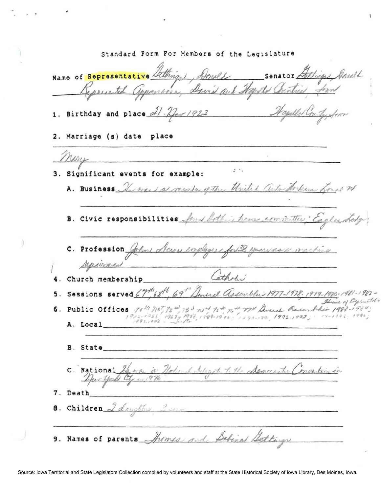Standard Form For Members of the Legislature Senator Lettings Anald Name of Representative Lithian Annel apparais Savid and Hopely Contract from Jepperented 1. Birthday and place  $dl \cdot \mathcal{V}_{per}/923$ 2. Marriage (s) date place  $\mathcal{F}^{\mathcal{N}}$ 3. Significant events for example: A. Business Array a menter of the United Center Horkes for B. Civic responsibilities four lothing home committee, Caclustody C. Profession  $#$ Jewns employers for 38 years as a machine repairment Catholic 4. Church membership 5. Sessions served  $C_7^{th}$  sth, 69" Annual Assemblin 1977-1978. 1979-1980. 1981-1982-House of Representation 6. Public Offices 10th 71st, 72 m 75 m 75th 75th 75th America Recombine 1993-1984; A. Local **B.** State C. National  $\mathcal{A}_{\ell}$  and Adegat to the Semersitie montion in  $\overline{U}$ 7. Death 8. Children 2 denother 9. Names of parents Shomes and Sabinal State.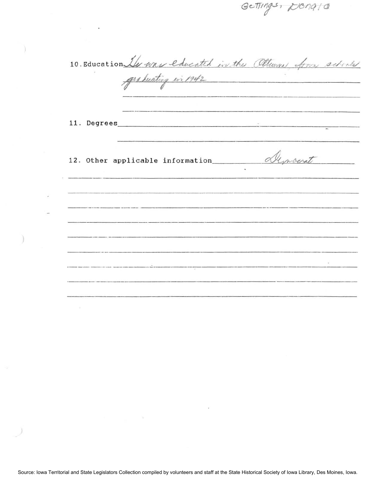10. Education Ile was educated in the Othern four seticles -------- **<sup>11</sup> .** Degrees \_\_\_\_\_\_\_\_\_\_\_\_\_\_\_\_\_\_\_\_\_\_\_\_\_\_\_\_\_\_\_\_\_ \_ 12. Other applicable information <u>Almoerat</u> --------------- -------- ------------- ------

 $20119$